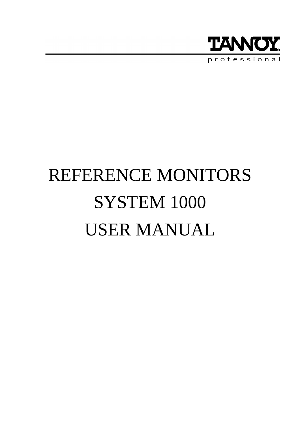

# REFERENCE MONITORS SYSTEM 1000 USER MANUAL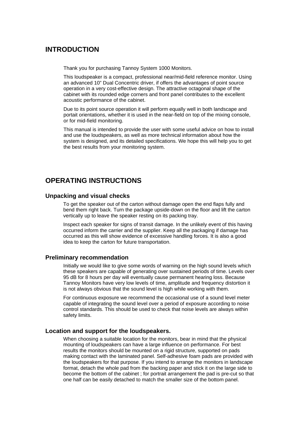# **INTRODUCTION**

Thank you for purchasing Tannoy System 1000 Monitors.

This loudspeaker is a compact, professional near/mid-field reference monitor. Using an advanced 10" Dual Concentric driver, if offers the advantages of point source operation in a very cost-effective design. The attractive octagonal shape of the cabinet with its rounded edge corners and front panel contributes to the excellent acoustic performance of the cabinet.

Due to its point source operation it will perform equally well in both landscape and portait orientations, whether it is used in the near-field on top of the mixing console, or for mid-field monitoring.

This manual is intended to provide the user with some useful advice on how to install and use the loudspeakers, as well as more technical information about how the system is designed, and its detailed specifications. We hope this will help you to get the best results from your monitoring system.

# **OPERATING INSTRUCTIONS**

#### **Unpacking and visual checks**

To get the speaker out of the carton without damage open the end flaps fully and bend them right back. Turn the package upside-down on the floor and lift the carton vertically up to leave the speaker resting on its packing tray.

Inspect each speaker for signs of transit damage. In the unlikely event of this having occurred inform the carrier and the supplier. Keep all the packaging if damage has occurred as this will show evidence of excessive handling forces. It is also a good idea to keep the carton for future transportation.

#### **Preliminary recommendation**

Initially we would like to give some words of warning on the high sound levels which these speakers are capable of generating over sustained periods of time. Levels over 95 dB for 8 hours per day will eventually cause permanent hearing loss. Because Tannoy Monitors have very low levels of time, amplitude and frequency distortion it is not always obvious that the sound level is high while working with them.

For continuous exposure we recommend the occasional use of a sound level meter capable of integrating the sound level over a period of exposure according to noise control standards. This should be used to check that noise levels are always within safety limits.

#### **Location and support for the loudspeakers.**

When choosing a suitable location for the monitors, bear in mind that the physical mounting of loudspeakers can have a large influence on performance. For best results the monitors should be mounted on a rigid structure, supported on pads making contact with the laminated panel. Self-adhesive foam pads are provided with the loudspeakers for that purpose. If you intend to arrange the monitors in landscape format, detach the whole pad from the backing paper and stick it on the large side to become the bottom of the cabinet ; for portrait arrangement the pad is pre-cut so that one half can be easily detached to match the smaller size of the bottom panel.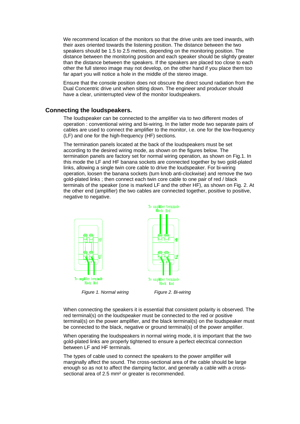We recommend location of the monitors so that the drive units are toed inwards, with their axes oriented towards the listening position. The distance between the two speakers should be 1.5 to 2.5 metres, depending on the monitoring position. The distance between the monitoring position and each speaker should be slightly greater than the distance between the speakers. If the speakers are placed too close to each other the full stereo image may not develop, on the other hand if you place them too far apart you will notice a hole in the middle of the stereo image.

Ensure that the console position does not obscure the direct sound radiation from the Dual Concentric drive unit when sitting down. The engineer and producer should have a clear, uninterrupted view of the monitor loudspeakers.

#### **Connecting the loudspeakers.**

The loudspeaker can be connected to the amplifier via to two different modes of operation : conventional wiring and bi-wiring. In the latter mode two separate pairs of cables are used to connect the amplifier to the monitor, i.e. one for the low-frequency (LF) and one for the high-frequency (HF) sections.

The termination panels located at the back of the loudspeakers must be set according to the desired wiring mode, as shown on the figures below. The termination panels are factory set for normal wiring operation, as shown on Fig.1. In this mode the LF and HF banana sockets are connected together by two gold-plated links, allowing a single twin core cable to drive the loudspeaker. For bi-wiring operation, loosen the banana sockets (turn knob anti-clockwise) and remove the two gold-plated links ; then connect each twin core cable to one pair of red / black terminals of the speaker (one is marked LF and the other HF), as shown on Fig. 2. At the other end (amplifier) the two cables are connected together, positive to positive, negative to negative.



When connecting the speakers it is essential that consistent polarity is observed. The red terminal(s) on the loudspeaker must be connected to the red or positive terminal(s) on the power amplifier, and the black terminal(s) on the loudspeaker must be connected to the black, negative or ground terminal(s) of the power amplifier.

When operating the loudspeakers in normal wiring mode, it is important that the two gold-plated links are properly tightened to ensure a perfect electrical connection between LF and HF terminals.

The types of cable used to connect the speakers to the power amplifier will marginally affect the sound. The cross-sectional area of the cable should be large enough so as not to affect the damping factor, and generally a cable with a crosssectional area of 2.5 mm² or greater is recommended.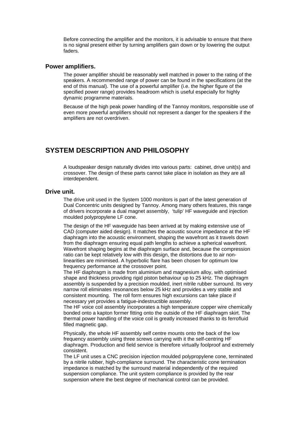Before connecting the amplifier and the monitors, it is advisable to ensure that there is no signal present either by turning amplifiers gain down or by lowering the output faders.

#### **Power amplifiers.**

The power amplifier should be reasonably well matched in power to the rating of the speakers. A recommended range of power can be found in the specifications (at the end of this manual). The use of a powerful amplifier (i.e. the higher figure of the specified power range) provides headroom which is useful especially for highly dynamic programme materials.

Because of the high peak power handling of the Tannoy monitors, responsible use of even more powerful amplifiers should not represent a danger for the speakers if the amplifiers are not overdriven.

## **SYSTEM DESCRIPTION AND PHILOSOPHY**

A loudspeaker design naturally divides into various parts: cabinet, drive unit(s) and crossover. The design of these parts cannot take place in isolation as they are all interdependent.

#### **Drive unit.**

The drive unit used in the System 1000 monitors is part of the latest generation of Dual Concentric units designed by Tannoy. Among many others features, this range of drivers incorporate a dual magnet assembly, 'tulip' HF waveguide and injection moulded polypropylene LF cone.

The design of the HF waveguide has been arrived at by making extensive use of CAD (computer aided design). It matches the acoustic source impedance at the HF diaphragm into the acoustic environment, shaping the wavefront as it travels down from the diaphragm ensuring equal path lengths to achieve a spherical wavefront. Wavefront shaping begins at the diaphragm surface and, because the compression ratio can be kept relatively low with this design, the distortions due to air nonlinearities are minimised. A hyperbolic flare has been chosen for optimum low frequency performance at the crossover point.

The HF diaphragm is made from aluminium and magnesium alloy, with optimised shape and thickness providing rigid piston behaviour up to 25 kHz. The diaphragm assembly is suspended by a precision moulded, inert nitrile rubber surround. Its very narrow roll eliminates resonances below 25 kHz and provides a very stable and consistent mounting. The roll form ensures high excursions can take place if necessary yet provides a fatigue-indestructible assembly.

The HF voice coil assembly incorporates a high temperature copper wire chemically bonded onto a kapton former fitting onto the outside of the HF diaphragm skirt. The thermal power handling of the voice coil is greatly increased thanks to its ferrofluid filled magnetic gap.

Physically, the whole HF assembly self centre mounts onto the back of the low frequency assembly using three screws carrying with it the self-centring HF diaphragm. Production and field service is therefore virtually foolproof and extremely consistent.

The LF unit uses a CNC precision injection moulded polypropylene cone, terminated by a nitrile rubber, high-compliance surround. The characteristic cone termination impedance is matched by the surround material independently of the required suspension compliance. The unit system compliance is provided by the rear suspension where the best degree of mechanical control can be provided.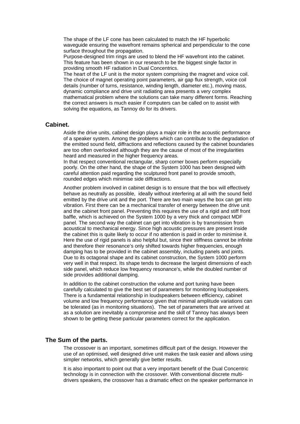The shape of the LF cone has been calculated to match the HF hyperbolic waveguide ensuring the wavefront remains spherical and perpendicular to the cone surface throughout the propagation.

Purpose-designed trim rings are used to blend the HF wavefront into the cabinet. This feature has been shown in our research to be the biggest single factor in providing smooth HF radiation in Dual Concentrics.

The heart of the LF unit is the motor system comprising the magnet and voice coil. The choice of magnet operating point parameters, air gap flux strength, voice coil details (number of turns, resistance, winding length, diameter etc.), moving mass, dynamic compliance and drive unit radiating area presents a very complex mathematical problem where the solutions can take many different forms. Reaching the correct answers is much easier if computers can be called on to assist with solving the equations, as Tannoy do for its drivers.

#### **Cabinet.**

Aside the drive units, cabinet design plays a major role in the acoustic performance of a speaker system. Among the problems which can contribute to the degradation of the emitted sound field, diffractions and reflections caused by the cabinet boundaries are too often overlooked although they are the cause of most of the irregularities heard and measured in the higher frequency areas.

In that respect conventional rectangular, sharp corner boxes perform especially poorly. On the other hand, the shape of the System 1000 has been designed with careful attention paid regarding the sculptured front panel to provide smooth, rounded edges which minimise side diffractions.

Another problem involved in cabinet design is to ensure that the box will effectively behave as neutrally as possible, ideally without interfering at all with the sound field emitted by the drive unit and the port. There are two main ways the box can get into vibration. First there can be a mechanical transfer of energy between the drive unit and the cabinet front panel. Preventing this requires the use of a rigid and stiff front baffle, which is achieved on the System 1000 by a very thick and compact MDF panel. The second way the cabinet can get into vibration is by transmission from acoustical to mechanical energy. Since high acoustic pressures are present inside the cabinet this is quite likely to occur if no attention is paid in order to minimise it. Here the use of rigid panels is also helpful but, since their stiffness cannot be infinite and therefore their resonance's only shifted towards higher frequencies, enough damping has to be provided in the cabinet assembly, including panels and joints. Due to its octagonal shape and its cabinet construction, the System 1000 perform very well in that respect. Its shape tends to decrease the largest dimensions of each side panel, which reduce low frequency resonance's, while the doubled number of side provides additional damping.

In addition to the cabinet construction the volume and port tuning have been carefully calculated to give the best set of parameters for monitoring loudspeakers. There is a fundamental relationship in loudspeakers between efficiency, cabinet volume and low frequency performance given that minimal amplitude variations can be tolerated (as in monitoring situations). The set of parameters that are arrived at as a solution are inevitably a compromise and the skill of Tannoy has always been shown to be getting these particular parameters correct for the application.

#### **The Sum of the parts.**

The crossover is an important, sometimes difficult part of the design. However the use of an optimised, well designed drive unit makes the task easier and allows using simpler networks, which generally give better results.

It is also important to point out that a very important benefit of the Dual Concentric technology is in connection with the crossover. With conventional discrete multidrivers speakers, the crossover has a dramatic effect on the speaker performance in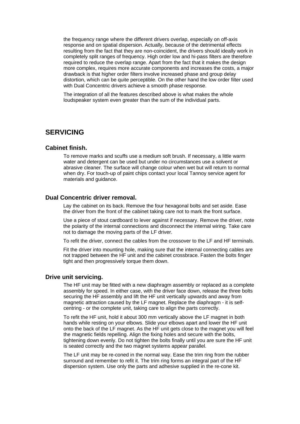the frequency range where the different drivers overlap, especially on off-axis response and on spatial dispersion. Actually, because of the detrimental effects resulting from the fact that they are non-coincident, the drivers should ideally work in completely split ranges of frequency. High order low and hi-pass filters are therefore required to reduce the overlap range. Apart from the fact that it makes the design more complex, requires more accurate components and increases the costs, a major drawback is that higher order filters involve increased phase and group delay distortion, which can be quite perceptible. On the other hand the low order filter used with Dual Concentric drivers achieve a smooth phase response.

The integration of all the features described above is what makes the whole loudspeaker system even greater than the sum of the individual parts.

## **SERVICING**

#### **Cabinet finish.**

To remove marks and scuffs use a medium soft brush. If necessary, a little warm water and detergent can be used but under no circumstances use a solvent or abrasive cleaner. The surface will change colour when wet but will return to normal when dry. For touch-up of paint chips contact your local Tannoy service agent for materials and guidance.

#### **Dual Concentric driver removal.**

Lay the cabinet on its back. Remove the four hexagonal bolts and set aside. Ease the driver from the front of the cabinet taking care not to mark the front surface.

Use a piece of stout cardboard to lever against if necessary. Remove the driver, note the polarity of the internal connections and disconnect the internal wiring. Take care not to damage the moving parts of the LF driver.

To refit the driver, connect the cables from the crossover to the LF and HF terminals.

Fit the driver into mounting hole, making sure that the internal connecting cables are not trapped between the HF unit and the cabinet crossbrace. Fasten the bolts finger tight and then progressively torque them down.

#### **Drive unit servicing.**

The HF unit may be fitted with a new diaphragm assembly or replaced as a complete assembly for speed. In either case, with the driver face down, release the three bolts securing the HF assembly and lift the HF unit vertically upwards and away from magnetic attraction caused by the LF magnet. Replace the diaphragm - it is selfcentring - or the complete unit, taking care to align the parts correctly.

To refit the HF unit, hold it about 300 mm vertically above the LF magnet in both hands while resting on your elbows. Slide your elbows apart and lower the HF unit onto the back of the LF magnet. As the HF unit gets close to the magnet you will feel the magnetic fields repelling. Align the fixing holes and secure with the bolts, tightening down evenly. Do not tighten the bolts finally until you are sure the HF unit is seated correctly and the two magnet systems appear parallel.

The LF unit may be re-coned in the normal way. Ease the trim ring from the rubber surround and remember to refit it. The trim ring forms an integral part of the HF dispersion system. Use only the parts and adhesive supplied in the re-cone kit.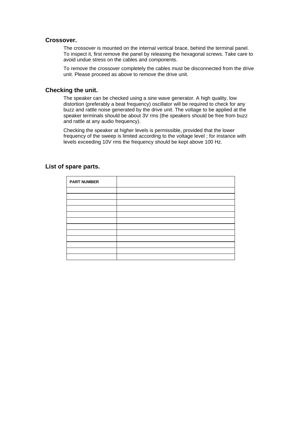#### **Crossover.**

The crossover is mounted on the internal vertical brace, behind the terminal panel. To inspect it, first remove the panel by releasing the hexagonal screws. Take care to avoid undue stress on the cables and components.

To remove the crossover completely the cables must be disconnected from the drive unit. Please proceed as above to remove the drive unit.

#### **Checking the unit.**

The speaker can be checked using a sine wave generator. A high quality, low distortion (preferably a beat frequency) oscillator will be required to check for any buzz and rattle noise generated by the drive unit. The voltage to be applied at the speaker terminals should be about 3V rms (the speakers should be free from buzz and rattle at any audio frequency).

Checking the speaker at higher levels is permissible, provided that the lower frequency of the sweep is limited according to the voltage level ; for instance with levels exceeding 10V rms the frequency should be kept above 100 Hz.

| <b>PART NUMBER</b> |  |
|--------------------|--|
|                    |  |
|                    |  |
|                    |  |
|                    |  |
|                    |  |
|                    |  |
|                    |  |
|                    |  |
|                    |  |
|                    |  |
|                    |  |
|                    |  |

#### **List of spare parts.**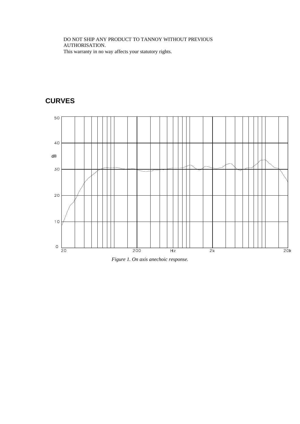DO NOT SHIP ANY PRODUCT TO TANNOY WITHOUT PREVIOUS AUTHORISATION. This warranty in no way affects your statutory rights.

# **CURVES**



*Figure 1. On axis anechoic response.*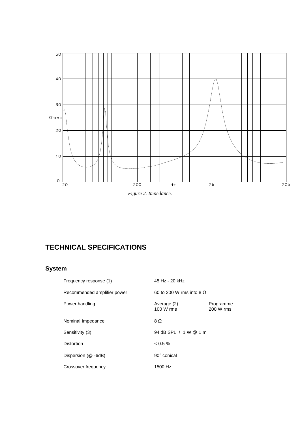

*Figure 2. Impedance.*

# **TECHNICAL SPECIFICATIONS**

# **System**

| Frequency response (1)      | 45 Hz - 20 kHz                  |                        |
|-----------------------------|---------------------------------|------------------------|
| Recommended amplifier power | 60 to 200 W rms into 8 $\Omega$ |                        |
| Power handling              | Average (2)<br>100 W rms        | Programme<br>200 W rms |
| Nominal Impedance           | 8Ω                              |                        |
| Sensitivity (3)             | 94 dB SPL / 1 W @ 1 m           |                        |
| <b>Distortion</b>           | $< 0.5 \%$                      |                        |
| Dispersion (@ -6dB)         | 90° conical                     |                        |
| Crossover frequency         | 1500 Hz                         |                        |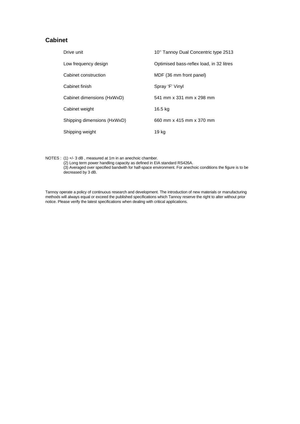### **Cabinet**

| Drive unit                  | 10" Tannoy Dual Concentric type 2513     |
|-----------------------------|------------------------------------------|
| Low frequency design        | Optimised bass-reflex load, in 32 litres |
| Cabinet construction        | MDF (36 mm front panel)                  |
| Cabinet finish              | Spray 'F' Vinyl                          |
| Cabinet dimensions (HxWxD)  | 541 mm x 331 mm x 298 mm                 |
| Cabinet weight              | 16.5 kg                                  |
| Shipping dimensions (HxWxD) | 660 mm x 415 mm x 370 mm                 |
| Shipping weight             | 19 kg                                    |

NOTES : (1) +/- 3 dB, measured at 1m in an anechoic chamber.

(2) Long term power handling capacity as defined in EIA standard RS426A. (3) Averaged over specified bandwith for half-space environment. For anechoic conditions the figure is to be decreased by 3 dB.

Tannoy operate a policy of continuous research and development. The introduction of new materials or manufacturing methods will always equal or exceed the published specifications which Tannoy reserve the right to alter without prior notice. Please verify the latest specifications when dealing with critical applications.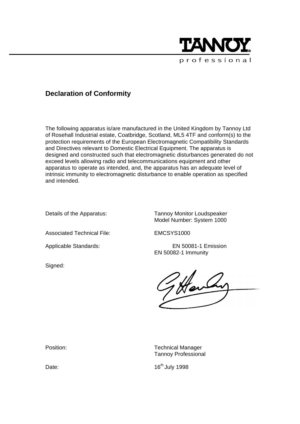

# **Declaration of Conformity**

The following apparatus is/are manufactured in the United Kingdom by Tannoy Ltd of Rosehall Industrial estate, Coatbridge, Scotland, ML5 4TF and conform(s) to the protection requirements of the European Electromagnetic Compatibility Standards and Directives relevant to Domestic Electrical Equipment. The apparatus is designed and constructed such that electromagnetic disturbances generated do not exceed levels allowing radio and telecommunications equipment and other apparatus to operate as intended, and, the apparatus has an adequate level of intrinsic immunity to electromagnetic disturbance to enable operation as specified and intended.

Details of the Apparatus: Tannoy Monitor Loudspeaker Model Number: System 1000

Associated Technical File: EMCSYS1000

Applicable Standards: EN 50081-1 Emission

Signed:

EN 50082-1 Immunity

Position: Technical Manager Tannoy Professional

Date: 16<sup>th</sup> July 1998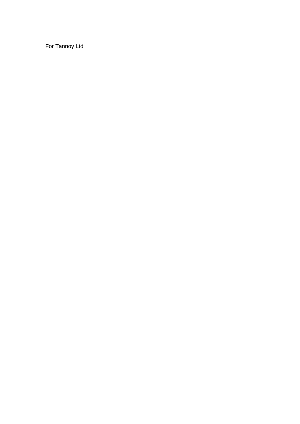For Tannoy Ltd